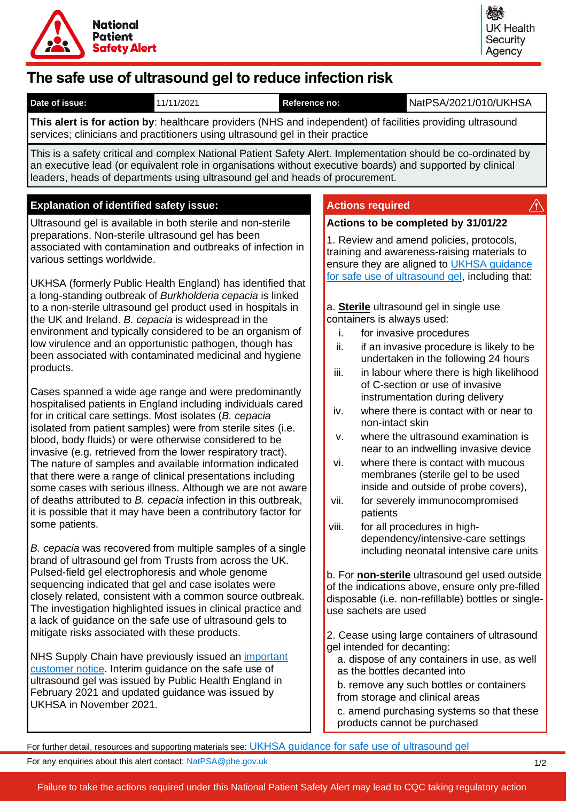

# **The safe use of ultrasound gel to reduce infection risk**

| Date of issue:<br>11/11/2021                                                                                                                                                                                                                                                                                                                                                                                                                                                                                                                                                                                                                                                                                                                                                                                                                                                                                                                                                                                                                                                                                                                                                                                                                                                                                                                                                                                                                                                                                                                                                                                                                                                                                                                                                                                                                                                                                                                                                                                                                                                                                                                      | NatPSA/2021/010/UKHSA<br>Reference no:                                                                                                                                                                                                                                                                                                                                                                                                                                                                                                                                                                                                                                                                                                                                                                                                                                                                                                                                                                                                                                                                                                                                                                                                                                                                                                                                                                                                                                                                                                                   |
|---------------------------------------------------------------------------------------------------------------------------------------------------------------------------------------------------------------------------------------------------------------------------------------------------------------------------------------------------------------------------------------------------------------------------------------------------------------------------------------------------------------------------------------------------------------------------------------------------------------------------------------------------------------------------------------------------------------------------------------------------------------------------------------------------------------------------------------------------------------------------------------------------------------------------------------------------------------------------------------------------------------------------------------------------------------------------------------------------------------------------------------------------------------------------------------------------------------------------------------------------------------------------------------------------------------------------------------------------------------------------------------------------------------------------------------------------------------------------------------------------------------------------------------------------------------------------------------------------------------------------------------------------------------------------------------------------------------------------------------------------------------------------------------------------------------------------------------------------------------------------------------------------------------------------------------------------------------------------------------------------------------------------------------------------------------------------------------------------------------------------------------------------|----------------------------------------------------------------------------------------------------------------------------------------------------------------------------------------------------------------------------------------------------------------------------------------------------------------------------------------------------------------------------------------------------------------------------------------------------------------------------------------------------------------------------------------------------------------------------------------------------------------------------------------------------------------------------------------------------------------------------------------------------------------------------------------------------------------------------------------------------------------------------------------------------------------------------------------------------------------------------------------------------------------------------------------------------------------------------------------------------------------------------------------------------------------------------------------------------------------------------------------------------------------------------------------------------------------------------------------------------------------------------------------------------------------------------------------------------------------------------------------------------------------------------------------------------------|
| This alert is for action by: healthcare providers (NHS and independent) of facilities providing ultrasound                                                                                                                                                                                                                                                                                                                                                                                                                                                                                                                                                                                                                                                                                                                                                                                                                                                                                                                                                                                                                                                                                                                                                                                                                                                                                                                                                                                                                                                                                                                                                                                                                                                                                                                                                                                                                                                                                                                                                                                                                                        |                                                                                                                                                                                                                                                                                                                                                                                                                                                                                                                                                                                                                                                                                                                                                                                                                                                                                                                                                                                                                                                                                                                                                                                                                                                                                                                                                                                                                                                                                                                                                          |
| services; clinicians and practitioners using ultrasound gel in their practice                                                                                                                                                                                                                                                                                                                                                                                                                                                                                                                                                                                                                                                                                                                                                                                                                                                                                                                                                                                                                                                                                                                                                                                                                                                                                                                                                                                                                                                                                                                                                                                                                                                                                                                                                                                                                                                                                                                                                                                                                                                                     |                                                                                                                                                                                                                                                                                                                                                                                                                                                                                                                                                                                                                                                                                                                                                                                                                                                                                                                                                                                                                                                                                                                                                                                                                                                                                                                                                                                                                                                                                                                                                          |
| This is a safety critical and complex National Patient Safety Alert. Implementation should be co-ordinated by<br>an executive lead (or equivalent role in organisations without executive boards) and supported by clinical<br>leaders, heads of departments using ultrasound gel and heads of procurement.                                                                                                                                                                                                                                                                                                                                                                                                                                                                                                                                                                                                                                                                                                                                                                                                                                                                                                                                                                                                                                                                                                                                                                                                                                                                                                                                                                                                                                                                                                                                                                                                                                                                                                                                                                                                                                       |                                                                                                                                                                                                                                                                                                                                                                                                                                                                                                                                                                                                                                                                                                                                                                                                                                                                                                                                                                                                                                                                                                                                                                                                                                                                                                                                                                                                                                                                                                                                                          |
| <b>Explanation of identified safety issue:</b>                                                                                                                                                                                                                                                                                                                                                                                                                                                                                                                                                                                                                                                                                                                                                                                                                                                                                                                                                                                                                                                                                                                                                                                                                                                                                                                                                                                                                                                                                                                                                                                                                                                                                                                                                                                                                                                                                                                                                                                                                                                                                                    | <b>Actions required</b><br>$\langle \mathbf{1} \rangle$                                                                                                                                                                                                                                                                                                                                                                                                                                                                                                                                                                                                                                                                                                                                                                                                                                                                                                                                                                                                                                                                                                                                                                                                                                                                                                                                                                                                                                                                                                  |
| Ultrasound gel is available in both sterile and non-sterile<br>preparations. Non-sterile ultrasound gel has been<br>associated with contamination and outbreaks of infection in<br>various settings worldwide.<br>UKHSA (formerly Public Health England) has identified that<br>a long-standing outbreak of Burkholderia cepacia is linked<br>to a non-sterile ultrasound gel product used in hospitals in<br>the UK and Ireland. B. cepacia is widespread in the<br>environment and typically considered to be an organism of<br>low virulence and an opportunistic pathogen, though has<br>been associated with contaminated medicinal and hygiene<br>products.<br>Cases spanned a wide age range and were predominantly<br>hospitalised patients in England including individuals cared<br>for in critical care settings. Most isolates (B. cepacia<br>isolated from patient samples) were from sterile sites (i.e.<br>blood, body fluids) or were otherwise considered to be<br>invasive (e.g. retrieved from the lower respiratory tract).<br>The nature of samples and available information indicated<br>that there were a range of clinical presentations including<br>some cases with serious illness. Although we are not aware<br>of deaths attributed to B. cepacia infection in this outbreak,<br>it is possible that it may have been a contributory factor for<br>some patients.<br>B. cepacia was recovered from multiple samples of a single<br>brand of ultrasound gel from Trusts from across the UK.<br>Pulsed-field gel electrophoresis and whole genome<br>sequencing indicated that gel and case isolates were<br>closely related, consistent with a common source outbreak.<br>The investigation highlighted issues in clinical practice and<br>a lack of guidance on the safe use of ultrasound gels to<br>mitigate risks associated with these products.<br>NHS Supply Chain have previously issued an <i>important</i><br>customer notice. Interim guidance on the safe use of<br>ultrasound gel was issued by Public Health England in<br>February 2021 and updated guidance was issued by<br>UKHSA in November 2021. | Actions to be completed by 31/01/22<br>1. Review and amend policies, protocols,<br>training and awareness-raising materials to<br>ensure they are aligned to UKHSA guidance<br>for safe use of ultrasound gel, including that:<br>a. Sterile ultrasound gel in single use<br>containers is always used:<br>i.<br>for invasive procedures<br>if an invasive procedure is likely to be<br>ii.<br>undertaken in the following 24 hours<br>iii.<br>in labour where there is high likelihood<br>of C-section or use of invasive<br>instrumentation during delivery<br>where there is contact with or near to<br>iv.<br>non-intact skin<br>where the ultrasound examination is<br>v.<br>near to an indwelling invasive device<br>where there is contact with mucous<br>vi.<br>membranes (sterile gel to be used<br>inside and outside of probe covers),<br>for severely immunocompromised<br>vii.<br>patients<br>viii.<br>for all procedures in high-<br>dependency/intensive-care settings<br>including neonatal intensive care units<br>b. For <b>non-sterile</b> ultrasound gel used outside<br>of the indications above, ensure only pre-filled<br>disposable (i.e. non-refillable) bottles or single-<br>use sachets are used<br>2. Cease using large containers of ultrasound<br>gel intended for decanting:<br>a. dispose of any containers in use, as well<br>as the bottles decanted into<br>b. remove any such bottles or containers<br>from storage and clinical areas<br>c. amend purchasing systems so that these<br>products cannot be purchased |
| For further detail, resources and supporting materials see: UKHSA guidance for safe use of ultrasound gel                                                                                                                                                                                                                                                                                                                                                                                                                                                                                                                                                                                                                                                                                                                                                                                                                                                                                                                                                                                                                                                                                                                                                                                                                                                                                                                                                                                                                                                                                                                                                                                                                                                                                                                                                                                                                                                                                                                                                                                                                                         |                                                                                                                                                                                                                                                                                                                                                                                                                                                                                                                                                                                                                                                                                                                                                                                                                                                                                                                                                                                                                                                                                                                                                                                                                                                                                                                                                                                                                                                                                                                                                          |
| For any enquiries about this alert contact: NatPSA@phe.gov.uk                                                                                                                                                                                                                                                                                                                                                                                                                                                                                                                                                                                                                                                                                                                                                                                                                                                                                                                                                                                                                                                                                                                                                                                                                                                                                                                                                                                                                                                                                                                                                                                                                                                                                                                                                                                                                                                                                                                                                                                                                                                                                     | 1/2                                                                                                                                                                                                                                                                                                                                                                                                                                                                                                                                                                                                                                                                                                                                                                                                                                                                                                                                                                                                                                                                                                                                                                                                                                                                                                                                                                                                                                                                                                                                                      |

Failure to take the actions required under this National Patient Safety Alert may lead to CQC taking regulatory action